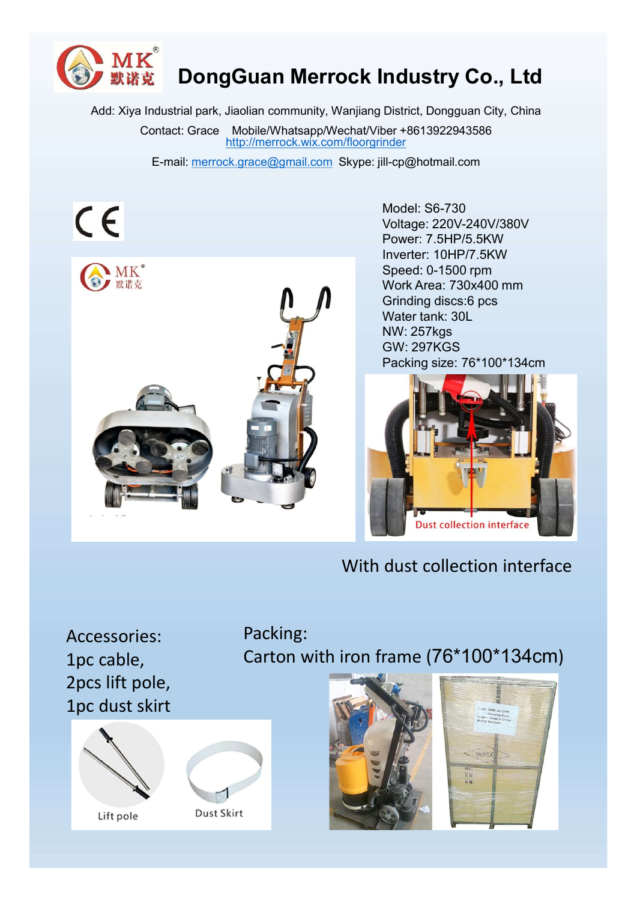E-mail: merrock.grace@gmail.com Skype: jill-cp@hotmail.com



Model: S6-730 Voltage: 220V-240V/380V Power: 7.5HP/5.5KW Inverter: 10HP/7.5KW Speed: 0-1500 rpm Work Area: 730x400 mm Grinding discs:6 pcs Water tank: 30L NW: 257kgs GW: 297KGS Packing size: 76\*100\*134cm



# With dust collection interface

Accessories: 1pc cable, 2pcs lift pole, 1pc dust skirt





Packing: Carton with iron frame (76\*100\*134cm)



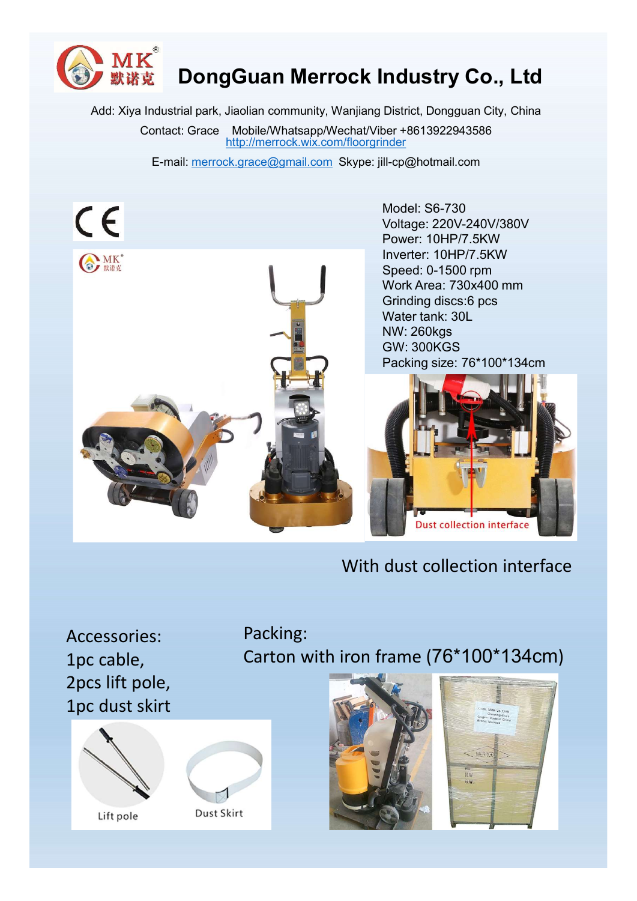E-mail: merrock.grace@gmail.com Skype: jill-cp@hotmail.com



Model: S6-730 Voltage: 220V-240V/380V Power: 10HP/7.5KW Inverter: 10HP/7.5KW Speed: 0-1500 rpm Work Area: 730x400 mm Grinding discs:6 pcs Water tank: 30L NW: 260kgs GW: 300KGS Packing size: 76\*100\*134cm



# With dust collection interface

Accessories: 1pc cable, 2pcs lift pole, 1pc dust skirt





Packing: Carton with iron frame (76\*100\*134cm)



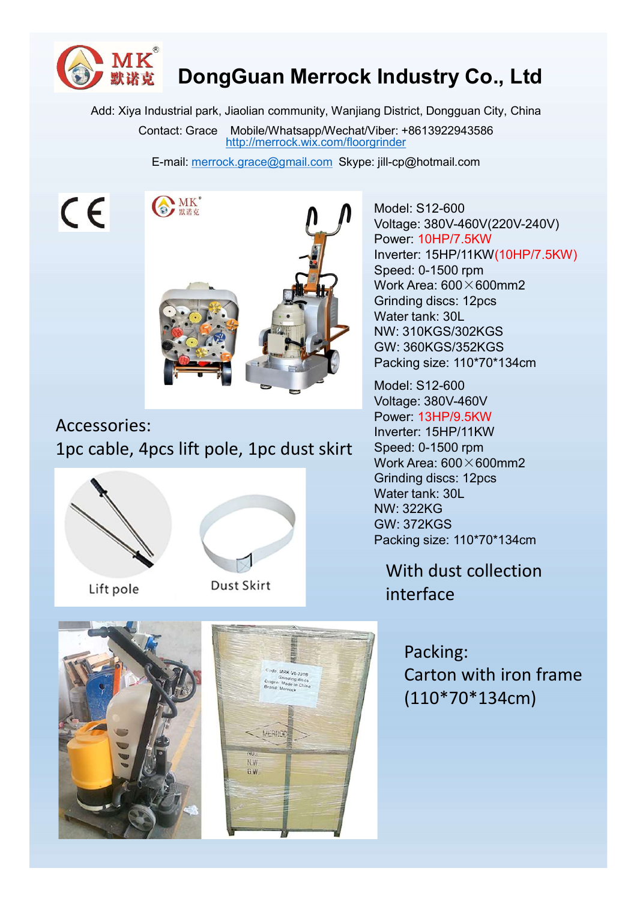E-mail: merrock.grace@gmail.com Skype: jill-cp@hotmail.com

 $\epsilon$ 



## Accessories: 1pc cable, 4pcs lift pole, 1pc dust skirt





Lift pole





Model: S12-600 Voltage: 380V-460V(220V-240V) Power: 10HP/7.5KW Inverter: 15HP/11KW(10HP/7.5KW) Speed: 0-1500 rpm Work Area: 600×600mm2 Grinding discs: 12pcs Water tank: 30L NW: 310KGS/302KGS GW: 360KGS/352KGS Packing size: 110\*70\*134cm

Model: S12-600 Voltage: 380V-460V Power: 13HP/9.5KW Inverter: 15HP/11KW Speed: 0-1500 rpm Work Area: 600×600mm2 Grinding discs: 12pcs Water tank: 30L NW: 322KG GW: 372KGS Packing size: 110\*70\*134cm

With dust collection interface

> Packing: Carton with iron frame (110\*70\*134cm)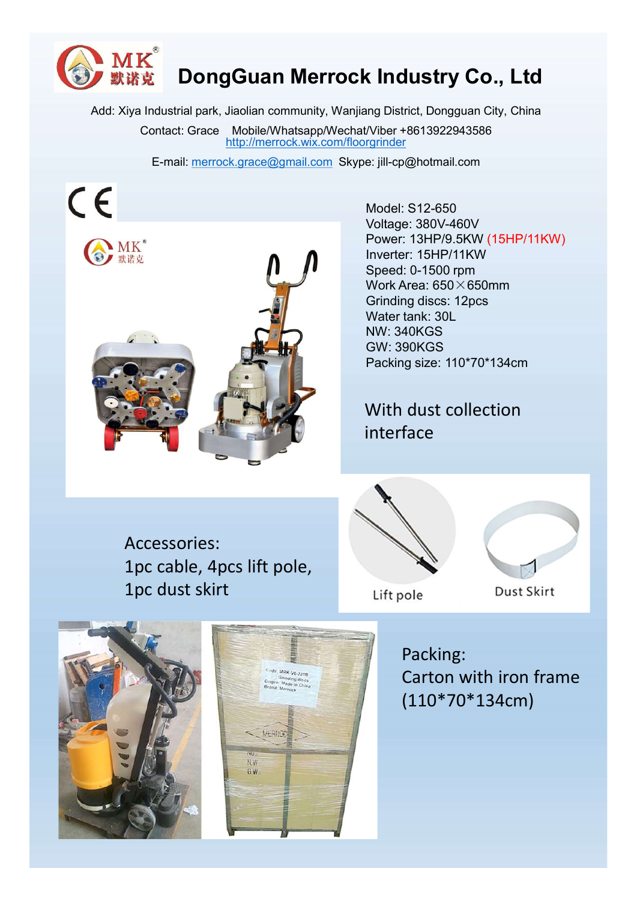E-mail: merrock.grace@gmail.com Skype: jill-cp@hotmail.com



Model: S12-650 Voltage: 380V-460V Power: 13HP/9.5KW (15HP/11KW) Inverter: 15HP/11KW Speed: 0-1500 rpm Work Area: 650×650mm Grinding discs: 12pcs Water tank: 30L NW: 340KGS GW: 390KGS Packing size: 110\*70\*134cm

# With dust collection interface

Accessories: 1pc cable, 4pcs lift pole, 1pc dust skirt







Packing: Carton with iron frame (110\*70\*134cm)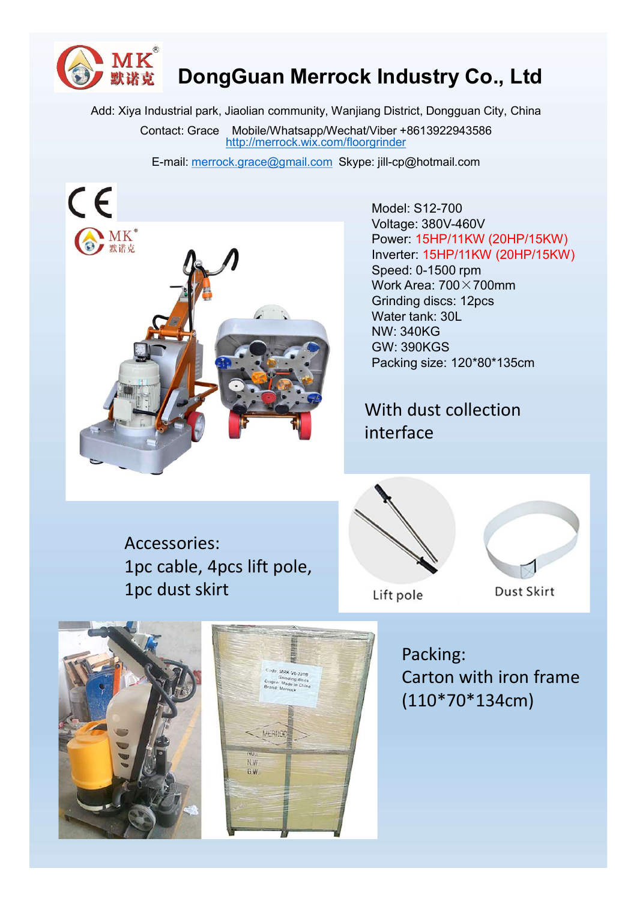E-mail: merrock.grace@gmail.com Skype: jill-cp@hotmail.com



Model: S12-700 Voltage: 380V-460V Power: 15HP/11KW (20HP/15KW) Inverter: 15HP/11KW (20HP/15KW) Speed: 0-1500 rpm Work Area: 700×700mm Grinding discs: 12pcs Water tank: 30L NW: 340KG GW: 390KGS Packing size: 120\*80\*135cm

# With dust collection interface

Accessories: 1pc cable, 4pcs lift pole, 1pc dust skirt





NW G.W

Packing: Carton with iron frame (110\*70\*134cm)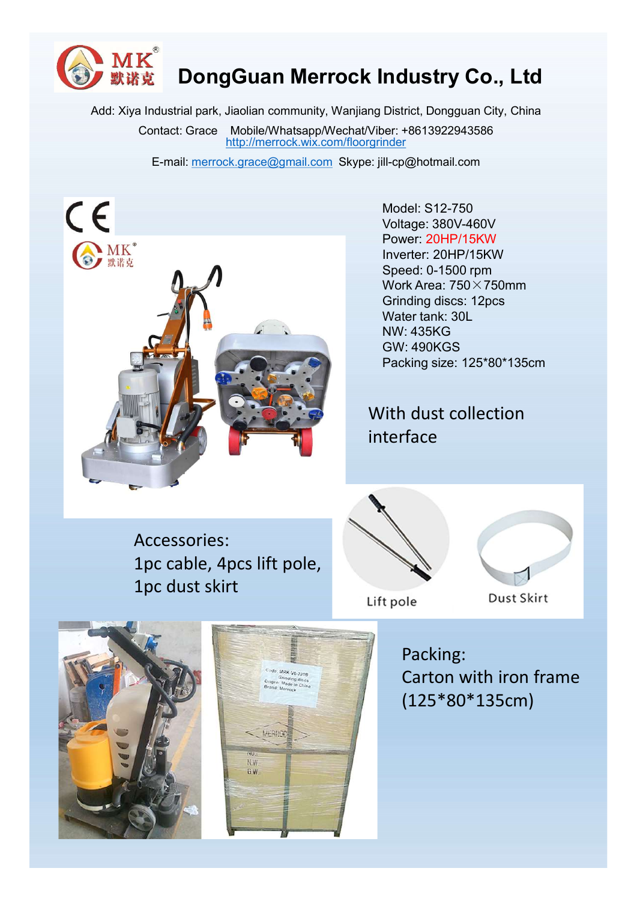E-mail: merrock.grace@gmail.com Skype: jill-cp@hotmail.com



Model: S12-750 Voltage: 380V-460V Power: 20HP/15KW Inverter: 20HP/15KW Speed: 0-1500 rpm Work Area: 750×750mm Grinding discs: 12pcs Water tank: 30L NW: 435KG GW: 490KGS Packing size: 125\*80\*135cm

# With dust collection interface

Accessories: 1pc cable, 4pcs lift pole, 1pc dust skirt





Lift pole

**Dust Skirt** 



Packing: Carton with iron frame (125\*80\*135cm)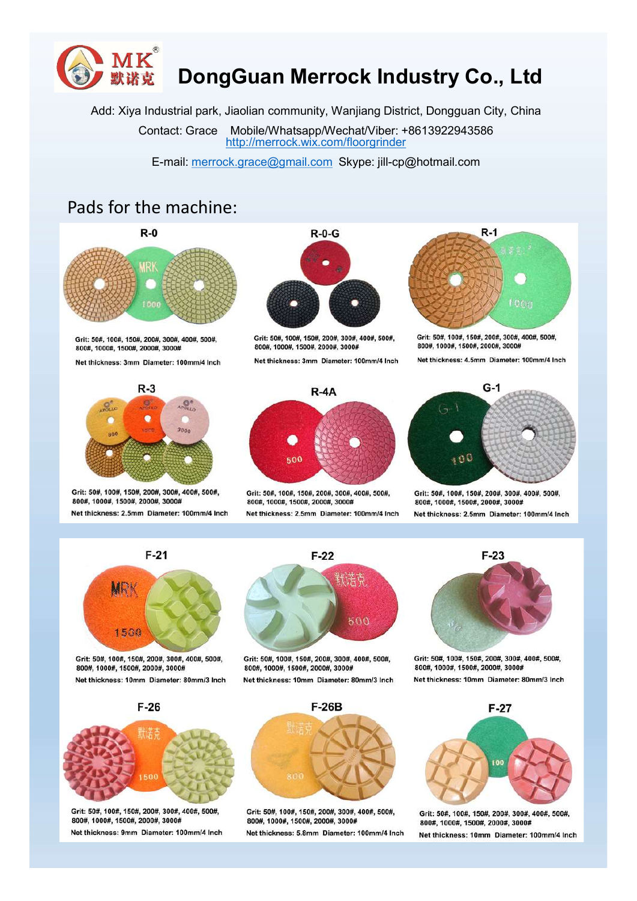# **DongGuan Merrock Industry Co., Ltd**<br>rial park, Jiaolian community, Wanjiang District, Dongguan City, China<br>i: Grace Mobile/Whatsapp/Wechat/Viber: +8613922943586<br>http://merrock.wix.com/floorgrinder **MK<sup>®</sup><br>
默诺克 DongGuan Merrock Industry Co., Ltd**<br>
Add: Xiya Industrial park, Jiaolian community, Wanjiang District, Dongguan City, China<br>
Contact: Grace Mobile/Whatsapp/Wechat/Viber: +8613922943586<br>
E-mail: <u>merrock.grace@</u>

Contact: Grace Mobile/Whatsapp/Wechat/Viber: +8613922943586 http://merrock.wix.com/floorgrinder

E-mail: merrock.grace@gmail.com Skype: jill-cp@hotmail.com

## Pads for the machine:

 $R - 0$ 



Grit: 50#, 100#, 150#, 200#, 300#, 400#, 500#, 800#, 1000#, 1500#, 2000#, 3000#

Net thickness: 3mm Diameter: 100mm/4 Inch



Grif: 50# 100# 150# 200# 300# 400# 500# 800#, 1000#, 1500#, 2000#, 3000#

Net thickness: 3mm Diameter: 100mm/4 Inch



Grit: 50#, 100#, 150#, 200#, 300#, 400#, 500#, 800#, 1000#, 1500#, 2000#, 3000#

Net thickness: 4.5mm Diameter: 100mm/4 Inch



Grit: 50#, 100#, 150#, 200#, 300#, 400#, 500#, 800#, 1000#, 1500#, 2000#, 3000# Net thickness: 2.5mm Diameter: 100mm/4 Inch



Grit: 50#, 100#, 150#, 200#, 300#, 400#, 500#, 800#, 1000#, 1500#, 2000#, 3000# Net thickness: 2.5mm Diameter: 100mm/4 Inch

 $F-22$ 



Grit: 50#, 100#, 150#, 200#, 300#, 400#, 500#, 800#, 1000#, 1500#, 2000#, 3000# Net thickness: 2.5mm Diameter: 100mm/4 Inch



Grit: 50#, 100#, 150#, 200#, 300#, 400#, 500#, 800#, 1000#, 1500#, 2000#, 3000# Net thickness: 10mm Diameter: 80mm/3 Inch

 $F-26$ 



800#, 1000#, 1500#, 2000#, 3000# Net thickness: 10mm Diameter: 80mm/3 Inch

Grit: 50#, 100#, 150#, 200#, 300#, 400#, 500#, 800#, 1000#, 1500#, 2000#, 3000# Net thickness: 9mm Diameter: 100mm/4 Inch



Grit: 50#, 100#, 150#, 200#, 300#, 400#, 500#, 800#, 1000#, 1500#, 2000#, 3000# Net thickness: 5.8mm Diameter: 100mm/4 Inch



Grit: 50#, 100#, 150#, 200#, 300#, 400#, 500#, 800#, 1000#, 1500#, 2000#, 3000# Net thickness: 10mm Diameter: 80mm/3 Inch

 $F-27$ 



Grit: 50#, 100#, 150#, 200#, 300#, 400#, 500#, 800#, 1000#, 1500#, 2000#, 3000# Net thickness: 10mm Diameter: 100mm/4 Inch